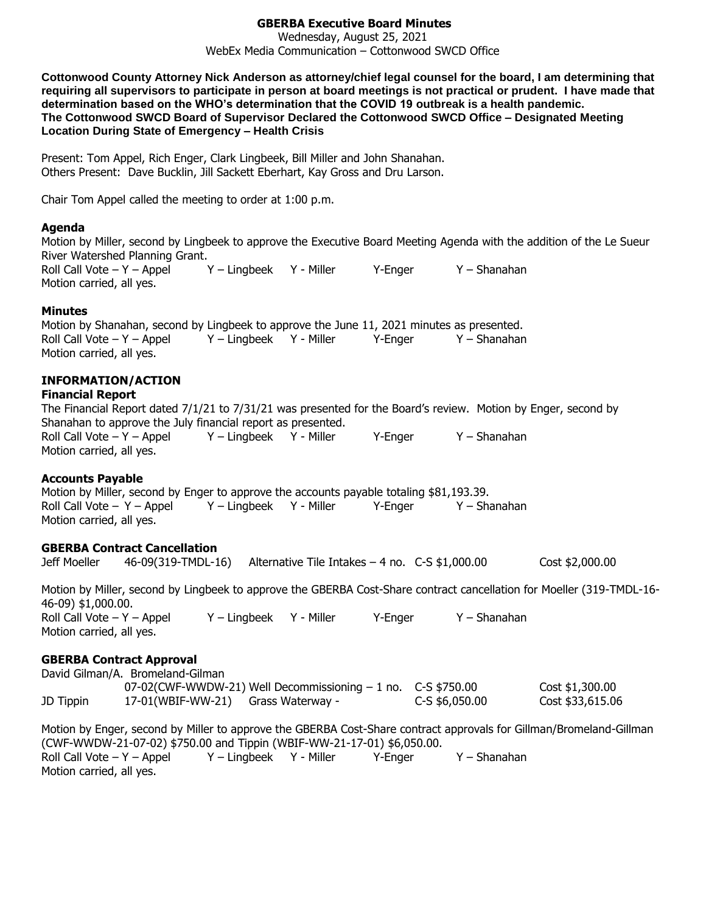# **GBERBA Executive Board Minutes**

Wednesday, August 25, 2021 WebEx Media Communication – Cottonwood SWCD Office

**Cottonwood County Attorney Nick Anderson as attorney/chief legal counsel for the board, I am determining that requiring all supervisors to participate in person at board meetings is not practical or prudent. I have made that determination based on the WHO's determination that the COVID 19 outbreak is a health pandemic. The Cottonwood SWCD Board of Supervisor Declared the Cottonwood SWCD Office – Designated Meeting Location During State of Emergency – Health Crisis**

Present: Tom Appel, Rich Enger, Clark Lingbeek, Bill Miller and John Shanahan. Others Present: Dave Bucklin, Jill Sackett Eberhart, Kay Gross and Dru Larson.

Chair Tom Appel called the meeting to order at 1:00 p.m.

#### **Agenda**

Motion by Miller, second by Lingbeek to approve the Executive Board Meeting Agenda with the addition of the Le Sueur River Watershed Planning Grant. Roll Call Vote – Y – Appel Y – Lingbeek Y - Miller Y - Enger Y – Shanahan

Motion carried, all yes.

#### **Minutes**

Motion by Shanahan, second by Lingbeek to approve the June 11, 2021 minutes as presented. Roll Call Vote – Y – Appel Y – Lingbeek Y - Miller Y-Enger Y – Shanahan Motion carried, all yes.

# **INFORMATION/ACTION**

# **Financial Report**

The Financial Report dated 7/1/21 to 7/31/21 was presented for the Board's review. Motion by Enger, second by Shanahan to approve the July financial report as presented. Roll Call Vote – Y – Appel Y – Lingbeek Y - Miller Y – Enger Y – Shanahan Motion carried, all yes.

## **Accounts Payable**

Motion by Miller, second by Enger to approve the accounts payable totaling \$81,193.39. Roll Call Vote – Y – Appel Y – Lingbeek Y - Miller Y - Enger Y – Shanahan Motion carried, all yes.

# **GBERBA Contract Cancellation**

Jeff Moeller 46-09(319-TMDL-16) Alternative Tile Intakes – 4 no. C-S \$1,000.00 Cost \$2,000.00

Motion by Miller, second by Lingbeek to approve the GBERBA Cost-Share contract cancellation for Moeller (319-TMDL-16- 46-09) \$1,000.00. Roll Call Vote – Y – Appel Y – Lingbeek Y - Miller Y – Enger Y – Shanahan Motion carried, all yes.

## **GBERBA Contract Approval**

David Gilman/A. Bromeland-Gilman 07-02(CWF-WWDW-21) Well Decommissioning – 1 no. C-S \$750.00 Cost \$1,300.00 JD Tippin 17-01(WBIF-WW-21) Grass Waterway - C-S \$6,050.00 Cost \$33,615.06 Motion by Enger, second by Miller to approve the GBERBA Cost-Share contract approvals for Gillman/Bromeland-Gillman (CWF-WWDW-21-07-02) \$750.00 and Tippin (WBIF-WW-21-17-01) \$6,050.00. Roll Call Vote – Y – Appel Y – Lingbeek Y - Miller Y-Enger Y – Shanahan Motion carried, all yes.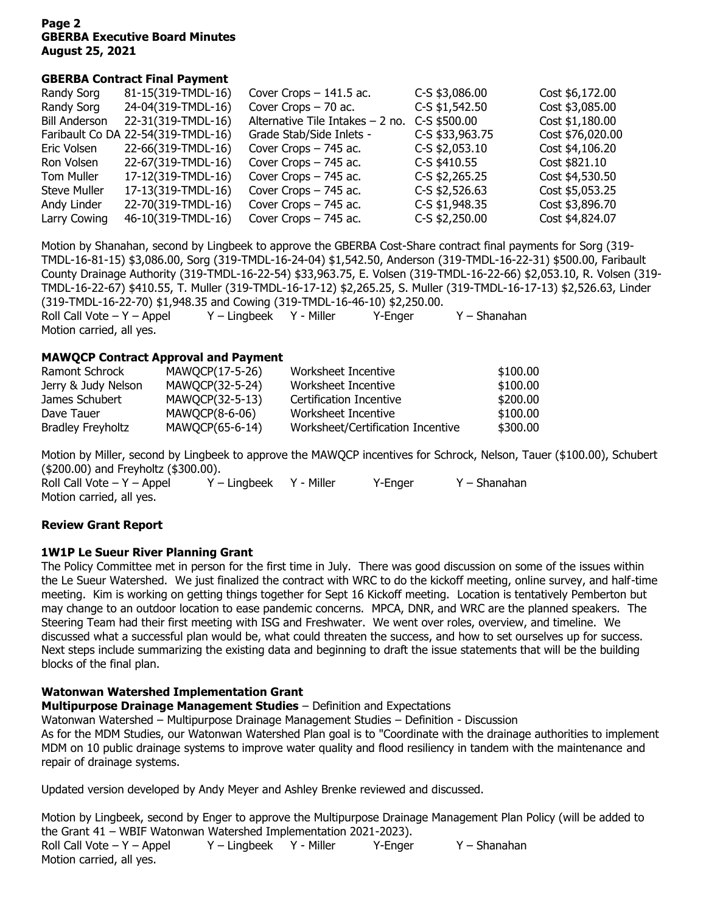#### **Page 2 GBERBA Executive Board Minutes August 25, 2021**

#### **GBERBA Contract Final Payment**

| Randy Sorg           | 81-15(319-TMDL-16)                 | Cover Crops $-141.5$ ac.          | C-S \$3,086.00   | Cost \$6,172.00  |
|----------------------|------------------------------------|-----------------------------------|------------------|------------------|
| Randy Sorg           | 24-04(319-TMDL-16)                 | Cover Crops - 70 ac.              | C-S \$1,542.50   | Cost \$3,085.00  |
| <b>Bill Anderson</b> | 22-31(319-TMDL-16)                 | Alternative Tile Intakes $-2$ no. | C-S \$500.00     | Cost \$1,180.00  |
|                      | Faribault Co DA 22-54(319-TMDL-16) | Grade Stab/Side Inlets -          | C-S \$33,963.75  | Cost \$76,020.00 |
| Eric Volsen          | 22-66(319-TMDL-16)                 | Cover Crops - 745 ac.             | C-S \$2,053.10   | Cost \$4,106.20  |
| Ron Volsen           | 22-67(319-TMDL-16)                 | Cover Crops - 745 ac.             | C-S \$410.55     | Cost \$821.10    |
| Tom Muller           | 17-12(319-TMDL-16)                 | Cover Crops - 745 ac.             | C-S \$2,265.25   | Cost \$4,530.50  |
| <b>Steve Muller</b>  | 17-13(319-TMDL-16)                 | Cover Crops - 745 ac.             | $C-S$ \$2,526.63 | Cost \$5,053.25  |
| Andy Linder          | 22-70(319-TMDL-16)                 | Cover Crops - 745 ac.             | C-S \$1,948.35   | Cost \$3,896.70  |
| Larry Cowing         | 46-10(319-TMDL-16)                 | Cover Crops - 745 ac.             | C-S \$2,250.00   | Cost \$4,824.07  |

Motion by Shanahan, second by Lingbeek to approve the GBERBA Cost-Share contract final payments for Sorg (319- TMDL-16-81-15) \$3,086.00, Sorg (319-TMDL-16-24-04) \$1,542.50, Anderson (319-TMDL-16-22-31) \$500.00, Faribault County Drainage Authority (319-TMDL-16-22-54) \$33,963.75, E. Volsen (319-TMDL-16-22-66) \$2,053.10, R. Volsen (319- TMDL-16-22-67) \$410.55, T. Muller (319-TMDL-16-17-12) \$2,265.25, S. Muller (319-TMDL-16-17-13) \$2,526.63, Linder (319-TMDL-16-22-70) \$1,948.35 and Cowing (319-TMDL-16-46-10) \$2,250.00. Roll Call Vote – Y – Appel Y – Lingbeek Y - Miller Y - Enger Y – Shanahan Motion carried, all yes.

#### **MAWQCP Contract Approval and Payment**

| Ramont Schrock           | MAWQCP(17-5-26) | Worksheet Incentive               | \$100.00 |
|--------------------------|-----------------|-----------------------------------|----------|
| Jerry & Judy Nelson      | MAWQCP(32-5-24) | Worksheet Incentive               | \$100.00 |
| James Schubert           | MAWQCP(32-5-13) | Certification Incentive           | \$200.00 |
| Dave Tauer               | MAWQCP(8-6-06)  | Worksheet Incentive               | \$100.00 |
| <b>Bradley Freyholtz</b> | MAWQCP(65-6-14) | Worksheet/Certification Incentive | \$300,00 |

Motion by Miller, second by Lingbeek to approve the MAWQCP incentives for Schrock, Nelson, Tauer (\$100.00), Schubert (\$200.00) and Freyholtz (\$300.00).

Roll Call Vote – Y – Appel Y – Lingbeek Y - Miller Y - Enger Y – Shanahan Motion carried, all yes.

## **Review Grant Report**

## **1W1P Le Sueur River Planning Grant**

The Policy Committee met in person for the first time in July. There was good discussion on some of the issues within the Le Sueur Watershed. We just finalized the contract with WRC to do the kickoff meeting, online survey, and half-time meeting. Kim is working on getting things together for Sept 16 Kickoff meeting. Location is tentatively Pemberton but may change to an outdoor location to ease pandemic concerns. MPCA, DNR, and WRC are the planned speakers. The Steering Team had their first meeting with ISG and Freshwater. We went over roles, overview, and timeline. We discussed what a successful plan would be, what could threaten the success, and how to set ourselves up for success. Next steps include summarizing the existing data and beginning to draft the issue statements that will be the building blocks of the final plan.

## **Watonwan Watershed Implementation Grant**

**Multipurpose Drainage Management Studies** – Definition and Expectations

Watonwan Watershed – Multipurpose Drainage Management Studies – Definition - Discussion As for the MDM Studies, our Watonwan Watershed Plan goal is to "Coordinate with the drainage authorities to implement MDM on 10 public drainage systems to improve water quality and flood resiliency in tandem with the maintenance and repair of drainage systems.

Updated version developed by Andy Meyer and Ashley Brenke reviewed and discussed.

Motion by Lingbeek, second by Enger to approve the Multipurpose Drainage Management Plan Policy (will be added to the Grant 41 – WBIF Watonwan Watershed Implementation 2021-2023). Roll Call Vote – Y – Appel Y – Lingbeek Y - Miller Y – Enger Y – Shanahan Motion carried, all yes.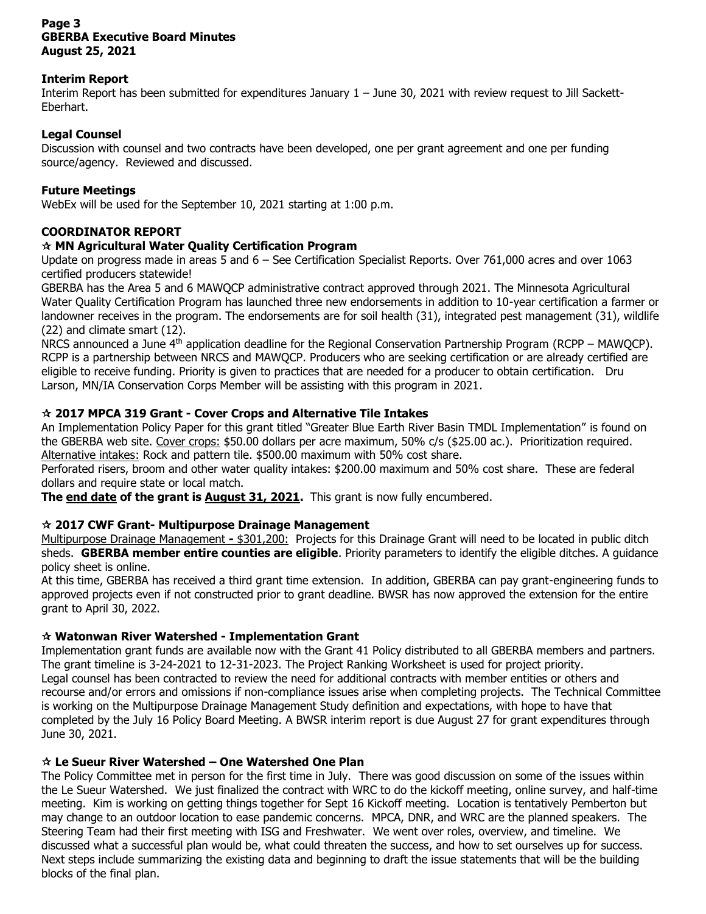## **Page 3 GBERBA Executive Board Minutes August 25, 2021**

## **Interim Report**

Interim Report has been submitted for expenditures January 1 – June 30, 2021 with review request to Jill Sackett-Eberhart.

## **Legal Counsel**

Discussion with counsel and two contracts have been developed, one per grant agreement and one per funding source/agency. Reviewed and discussed.

## **Future Meetings**

WebEx will be used for the September 10, 2021 starting at 1:00 p.m.

# **COORDINATOR REPORT**

## **MN Agricultural Water Quality Certification Program**

Update on progress made in areas 5 and 6 – See Certification Specialist Reports. Over 761,000 acres and over 1063 certified producers statewide!

GBERBA has the Area 5 and 6 MAWQCP administrative contract approved through 2021. The Minnesota Agricultural Water Quality Certification Program has launched three new endorsements in addition to 10-year certification a farmer or landowner receives in the program. The endorsements are for soil health (31), integrated pest management (31), wildlife (22) and climate smart (12).

NRCS announced a June 4<sup>th</sup> application deadline for the Regional Conservation Partnership Program (RCPP – MAWQCP). RCPP is a partnership between NRCS and MAWQCP. Producers who are seeking certification or are already certified are eligible to receive funding. Priority is given to practices that are needed for a producer to obtain certification. Dru Larson, MN/IA Conservation Corps Member will be assisting with this program in 2021.

## **2017 MPCA 319 Grant - Cover Crops and Alternative Tile Intakes**

An Implementation Policy Paper for this grant titled "Greater Blue Earth River Basin TMDL Implementation" is found on the GBERBA web site. Cover crops: \$50.00 dollars per acre maximum, 50% c/s (\$25.00 ac.). Prioritization required. Alternative intakes: Rock and pattern tile. \$500.00 maximum with 50% cost share.

Perforated risers, broom and other water quality intakes: \$200.00 maximum and 50% cost share. These are federal dollars and require state or local match.

**The end date of the grant is August 31, 2021.** This grant is now fully encumbered.

## **2017 CWF Grant- Multipurpose Drainage Management**

Multipurpose Drainage Management **-** \$301,200: Projects for this Drainage Grant will need to be located in public ditch sheds. **GBERBA member entire counties are eligible**. Priority parameters to identify the eligible ditches. A guidance policy sheet is online.

At this time, GBERBA has received a third grant time extension. In addition, GBERBA can pay grant-engineering funds to approved projects even if not constructed prior to grant deadline. BWSR has now approved the extension for the entire grant to April 30, 2022.

## **Watonwan River Watershed - Implementation Grant**

Implementation grant funds are available now with the Grant 41 Policy distributed to all GBERBA members and partners. The grant timeline is 3-24-2021 to 12-31-2023. The Project Ranking Worksheet is used for project priority. Legal counsel has been contracted to review the need for additional contracts with member entities or others and recourse and/or errors and omissions if non-compliance issues arise when completing projects. The Technical Committee is working on the Multipurpose Drainage Management Study definition and expectations, with hope to have that completed by the July 16 Policy Board Meeting. A BWSR interim report is due August 27 for grant expenditures through June 30, 2021.

# **Le Sueur River Watershed – One Watershed One Plan**

The Policy Committee met in person for the first time in July. There was good discussion on some of the issues within the Le Sueur Watershed. We just finalized the contract with WRC to do the kickoff meeting, online survey, and half-time meeting. Kim is working on getting things together for Sept 16 Kickoff meeting. Location is tentatively Pemberton but may change to an outdoor location to ease pandemic concerns. MPCA, DNR, and WRC are the planned speakers. The Steering Team had their first meeting with ISG and Freshwater. We went over roles, overview, and timeline. We discussed what a successful plan would be, what could threaten the success, and how to set ourselves up for success. Next steps include summarizing the existing data and beginning to draft the issue statements that will be the building blocks of the final plan.